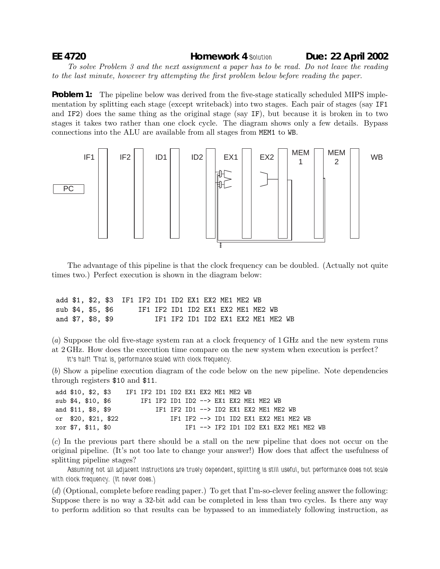## **EE 4720 Homework 4** *Solution* **Due: 22 April 2002**

*To solve Problem 3 and the next assignment a paper has to be read. Do not leave the reading to the last minute, however try attempting the first problem below before reading the paper.*

**Problem 1:** The pipeline below was derived from the five-stage statically scheduled MIPS implementation by splitting each stage (except writeback) into two stages. Each pair of stages (say IF1 and IF2) does the same thing as the original stage (say IF), but because it is broken in to two stages it takes two rather than one clock cycle. The diagram shows only a few details. Bypass connections into the ALU are available from all stages from MEM1 to WB.



The advantage of this pipeline is that the clock frequency can be doubled. (Actually not quite times two.) Perfect execution is shown in the diagram below:

|  |                   | add \$1, \$2, \$3 IF1 IF2 ID1 ID2 EX1 EX2 ME1 ME2 WB |  |  |                                    |  |                                    |  |
|--|-------------------|------------------------------------------------------|--|--|------------------------------------|--|------------------------------------|--|
|  | sub \$4, \$5, \$6 |                                                      |  |  | IF1 IF2 ID1 ID2 EX1 EX2 ME1 ME2 WB |  |                                    |  |
|  | and \$7, \$8, \$9 |                                                      |  |  |                                    |  | IF1 IF2 ID1 ID2 EX1 EX2 ME1 ME2 WB |  |

(*a*) Suppose the old five-stage system ran at a clock frequency of 1 GHz and the new system runs at 2 GHz. How does the execution time compare on the new system when execution is perfect? *It's half! That is, performance scaled with clock frequency.*

(*b*) Show a pipeline execution diagram of the code below on the new pipeline. Note dependencies through registers \$10 and \$11.

| add \$10. \$2. \$3  |  | IF1 IF2 ID1 ID2 EX1 EX2 ME1 ME2 WB     |  |  |                                        |  |  |                                        |  |
|---------------------|--|----------------------------------------|--|--|----------------------------------------|--|--|----------------------------------------|--|
| sub \$4, \$10, \$6  |  | IF1 IF2 ID1 ID2 --> EX1 EX2 ME1 ME2 WB |  |  |                                        |  |  |                                        |  |
| and \$11, \$8, \$9  |  |                                        |  |  | IF1 IF2 ID1 --> ID2 EX1 EX2 ME1 ME2 WB |  |  |                                        |  |
| or \$20, \$21, \$22 |  |                                        |  |  | IF1 IF2 --> ID1 ID2 EX1 EX2 ME1 ME2 WB |  |  |                                        |  |
| xor \$7. \$11. \$0  |  |                                        |  |  |                                        |  |  | TF1 --> TF2 TD1 TD2 FX1 FX2 ME1 ME2 WB |  |

(*c*) In the previous part there should be a stall on the new pipeline that does not occur on the original pipeline. (It's not too late to change your answer!) How does that affect the usefulness of splitting pipeline stages?

*Assuming not all adjacent instructions are truely dependent, splitting is still useful, but performance does not scale with clock frequency. (It never does.)*

(*d*) (Optional, complete before reading paper.) To get that I'm-so-clever feeling answer the following: Suppose there is no way a 32-bit add can be completed in less than two cycles. Is there any way to perform addition so that results can be bypassed to an immediately following instruction, as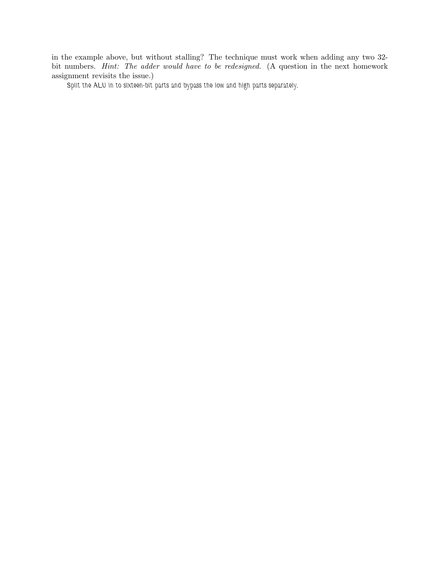in the example above, but without stalling? The technique must work when adding any two 32 bit numbers. *Hint: The adder would have to be redesigned.* (A question in the next homework assignment revisits the issue.)

*Split the ALU in to sixteen-bit parts and bypass the low and high parts separately.*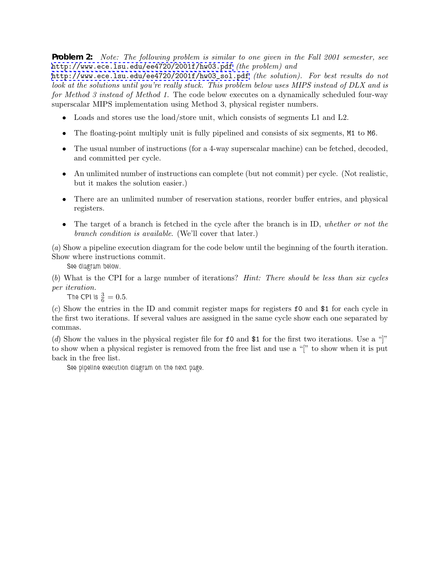**Problem 2:** *Note: The following problem is similar to one given in the Fall 2001 semester, see* <http://www.ece.lsu.edu/ee4720/2001f/hw03.pdf> *(the problem) and*

[http://www.ece.lsu.edu/ee4720/2001f/hw03\\_sol.pdf](http://www.ece.lsu.edu/ee4720/2001f/hw03_sol.pdf) *(the solution). For best results do not look at the solutions until you're really stuck. This problem below uses MIPS instead of DLX and is for Method 3 instead of Method 1.* The code below executes on a dynamically scheduled four-way superscalar MIPS implementation using Method 3, physical register numbers.

- Loads and stores use the load/store unit, which consists of segments L1 and L2.
- The floating-point multiply unit is fully pipelined and consists of six segments, M1 to M6.
- The usual number of instructions (for a 4-way superscalar machine) can be fetched, decoded, and committed per cycle.
- An unlimited number of instructions can complete (but not commit) per cycle. (Not realistic, but it makes the solution easier.)
- There are an unlimited number of reservation stations, reorder buffer entries, and physical registers.
- The target of a branch is fetched in the cycle after the branch is in ID, *whether or not the branch condition is available*. (We'll cover that later.)

(*a*) Show a pipeline execution diagram for the code below until the beginning of the fourth iteration. Show where instructions commit.

*See diagram below.*

(*b*) What is the CPI for a large number of iterations? *Hint: There should be less than six cycles per iteration.*

**The CPI is**  $\frac{3}{6} = 0.5$ **.** 

(*c*) Show the entries in the ID and commit register maps for registers f0 and \$1 for each cycle in the first two iterations. If several values are assigned in the same cycle show each one separated by commas.

(*d*) Show the values in the physical register file for f0 and \$1 for the first two iterations. Use a "]" to show when a physical register is removed from the free list and use a "[" to show when it is put back in the free list.

*See pipeline execution diagram on the next page.*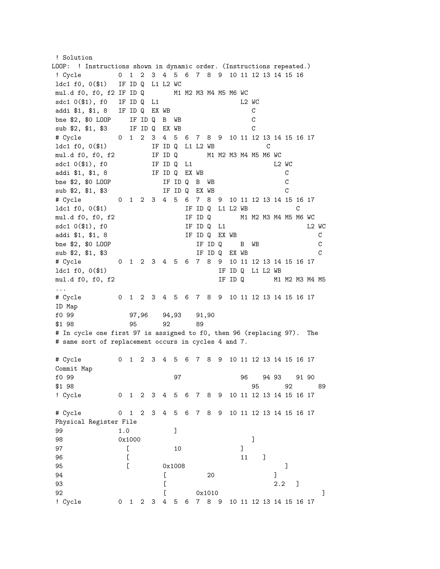! Solution LOOP: ! Instructions shown in dynamic order. (Instructions repeated.) ! Cycle 0 1 2 3 4 5 6 7 8 9 10 11 12 13 14 15 16 ldc1 f0, 0(\$1) IF ID Q L1 L2 WC mul.d f0, f0, f2 IF ID Q M1 M2 M3 M4 M5 M6 WC sdc1 0(\$1), f0 IF ID Q L1 L2 WC addi \$1, \$1, 8 IF ID Q EX WB C bne \$2, \$0 LOOP IF ID Q B WB C sub \$2, \$1, \$3 IF ID Q EX WB C # Cycle 0 1 2 3 4 5 6 7 8 9 10 11 12 13 14 15 16 17 1dc1 f0, 0(\$1) IF ID Q L1 L2 WB C mul.d f0, f0, f2 IF ID Q M1 M2 M3 M4 M5 M6 WC sdc1 0(\$1), f0 IF ID Q L1 L2 WC addi \$1, \$1, 8 IF ID Q EX WB C bne \$2, \$0 LOOP IF ID Q B WB C sub \$2, \$1, \$3 IF ID Q EX WB C # Cycle 0 1 2 3 4 5 6 7 8 9 10 11 12 13 14 15 16 17 1dc1 f0, 0(\$1) TF ID Q L1 L2 WB C mul.d f0, f0, f2 IF ID Q M1 M2 M3 M4 M5 M6 WC sdc1 0(\$1), f0 IF ID Q L1 L2 WC addi \$1, \$1, 8 IF ID Q EX WB C bne \$2, \$0 LOOP IF ID Q B WB C sub \$2, \$1, \$3 IF ID Q EX WB C # Cycle 0 1 2 3 4 5 6 7 8 9 10 11 12 13 14 15 16 17 1dc1 f0, 0(\$1) IF ID Q L1 L2 WB mul.d f0, f0, f2 IF ID Q M1 M2 M3 M4 M5 ... # Cycle 0 1 2 3 4 5 6 7 8 9 10 11 12 13 14 15 16 17 ID Map f0 99 97,96 94,93 91,90 \$1 98 95 92 89 # In cycle one first 97 is assigned to f0, then 96 (replacing 97). The # same sort of replacement occurs in cycles 4 and 7. # Cycle 0 1 2 3 4 5 6 7 8 9 10 11 12 13 14 15 16 17 Commit Map f0 99 97 96 94 93 91 90 \$1 98 95 92 89 ! Cycle 0 1 2 3 4 5 6 7 8 9 10 11 12 13 14 15 16 17 # Cycle 0 1 2 3 4 5 6 7 8 9 10 11 12 13 14 15 16 17 Physical Register File 99 1.0 ] 98 0x1000 **D** 97 [ 10 ] 96 [ 11 ] 95 [ 0x1008 ] 94 **[** 20 ] 93 **[** 2.2 ] 92  $\left[ \right.$  0x1010  $\left[ \right.$ ! Cycle 0 1 2 3 4 5 6 7 8 9 10 11 12 13 14 15 16 17